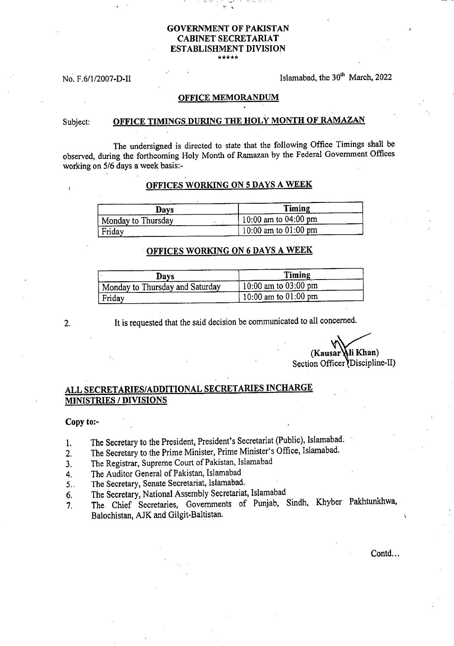### **GOVERNMENT OF PAKISTAN CABINET SECRETARIAT ESTABLISHMENT DIVISION \*\*\*\*\***

No. F.6/1/2007-D-II Islamabad, the  $30<sup>th</sup>$  March, 2022

#### **OFFICE MEMORANDUM**

## Subject: **OFFICE TIMINGS DURING THE HOLY MONTH OF RAMAZAN**

The undersigned is directed to state that the following Office Timings shall be observed, during the forthcoming Holy Month of Ramazan by the Federal Government Offices working on 5/6 days a week basis:-

### **OFFICES WORKING ON 5 DAYS A WEEK**

| Days                 | Timing                   |
|----------------------|--------------------------|
| ' Monday to Thursday | $10:00$ am to $04:00$ pm |
| Friday               | 10:00 am to $01:00$ pm   |

## **OFFICES WORKING ON 6 DAYS A WEEK**

| Days                            | Timing                   |
|---------------------------------|--------------------------|
| Monday to Thursday and Saturday | $10:00$ am to $03:00$ pm |
| Friday                          | 10:00 am to $01:00$ pm   |

2. It is requested that the said decision be communicated to all concerned.

**(Kausar li Khan)**  Section Officer Discipline-II)

# **ALL SECRETARIES/ADDITIONAL SECRETARIES INCHARGE MINISTRIES / DIVISIONS**

#### **Copy to:-**

- The Secretary to the President, President's Secretariat (Public), Islamabad. 1.
- The Secretary to the Prime Minister, Prime Minister's Office, Islamabad.  $2.$
- The Registrar, Supreme Court of Pakistan, Islamabad  $3<sub>1</sub>$
- The Auditor General of Pakistan, Islamabad 4.
- The Secretary, Senate Secretariat, Islamabad.  $5.$
- The Secretary, National Assembly Secretariat, Islamabad 6.
- The Chief Secretaries, Governments of Punjab, Sindh, Khyber Pakhtunkhwa,  $7<sub>1</sub>$ Balochistan, AJK and Gilgit-Baltistan.

Contd...